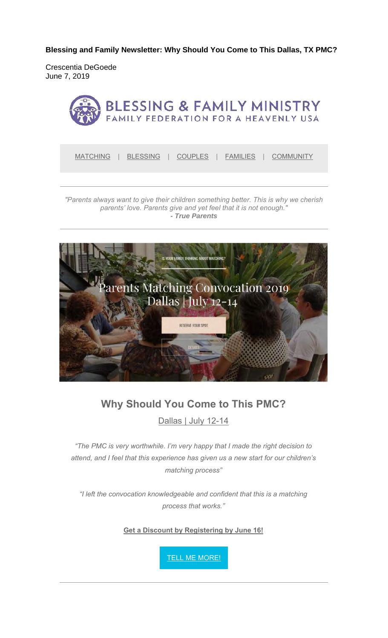**Blessing and Family Newsletter: Why Should You Come to This Dallas, TX PMC?** 

Crescentia DeGoede June 7, 2019



MATCHING | BLESSING | COUPLES | FAMILIES | COMMUNITY

*"Parents always want to give their children something better. This is why we cherish parents' love. Parents give and yet feel that it is not enough." - True Parents*



#### **Why Should You Come to This PMC?**

Dallas | July 12-14

*"The PMC is very worthwhile. I'm very happy that I made the right decision to attend, and I feel that this experience has given us a new start for our children's matching process"*

*"I left the convocation knowledgeable and confident that this is a matching process that works."* 

**Get a Discount by Registering by June 16!**

**TELL ME MORE!**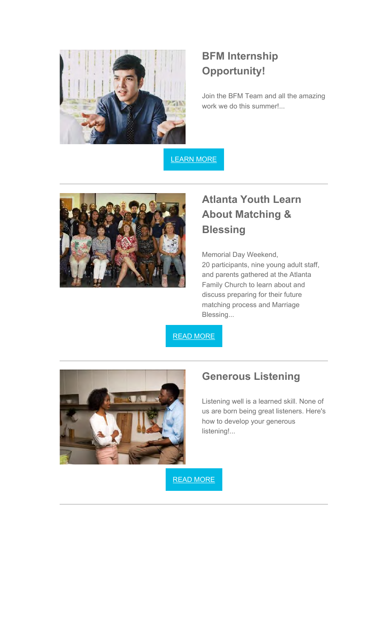

#### **BFM Internship Opportunity!**

Join the BFM Team and all the amazing work we do this summer!...

LEARN MORE



## **Atlanta Youth Learn About Matching & Blessing**

Memorial Day Weekend, 20 participants, nine young adult staff, and parents gathered at the Atlanta Family Church to learn about and discuss preparing for their future matching process and Marriage Blessing...

READ MORE



#### **Generous Listening**

Listening well is a learned skill. None of us are born being great listeners. Here's how to develop your generous listening!...

READ MORE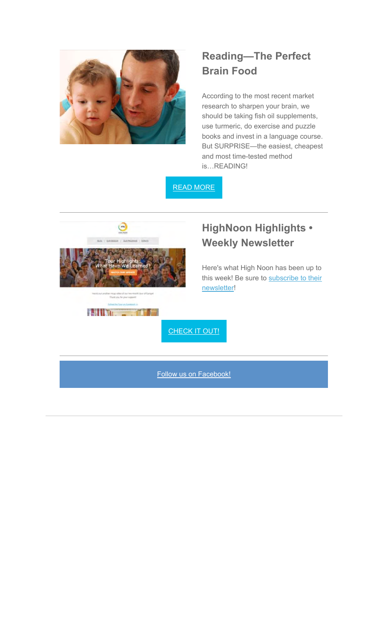

## **Reading—The Perfect Brain Food**

According to the most recent market research to sharpen your brain, we should be taking fish oil supplements, use turmeric, do exercise and puzzle books and invest in a language course. But SURPRISE—the easiest, cheapest and most time-tested method is…READING!

READ MORE



## **HighNoon Highlights • Weekly Newsletter**

Here's what High Noon has been up to this week! Be sure to subscribe to their newsletter!



CHECK IT OUT!

Follow us on Facebook!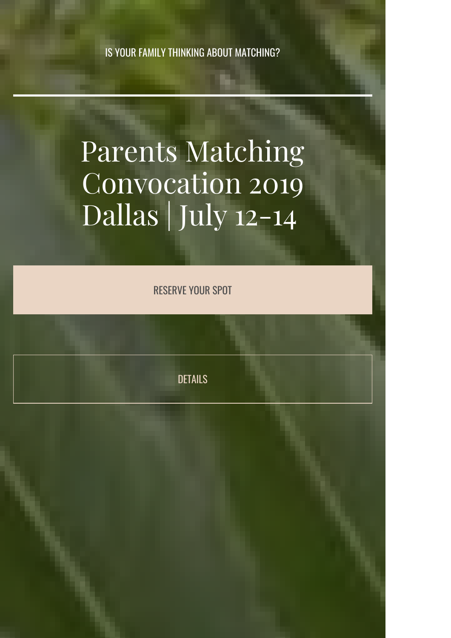IS YOUR FAMILY THINKING ABOUT MATCHING?

# Parents Matching Convocation 2019 Dallas | July 12-14

RESERVE YOUR SPOT

DETAILS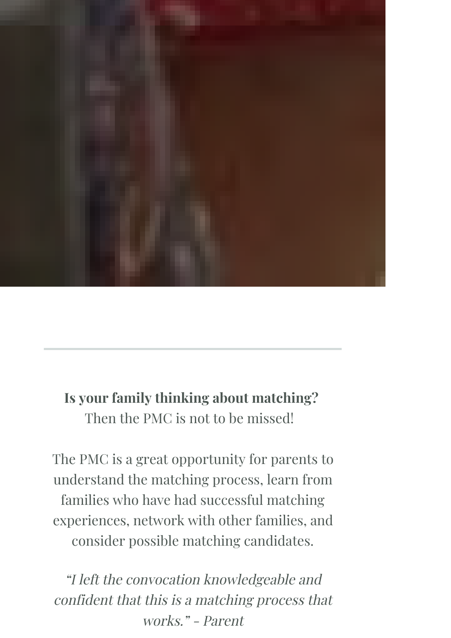

# **Is your family thinking about matching?**

Then the PMC is not to be missed!

The PMC is a great opportunity for parents to understand the matching process, learn from families who have had successful matching experiences, network with other families, and consider possible matching candidates.

"I left the convocation knowledgeable and confident that this is a matching process that works." - Parent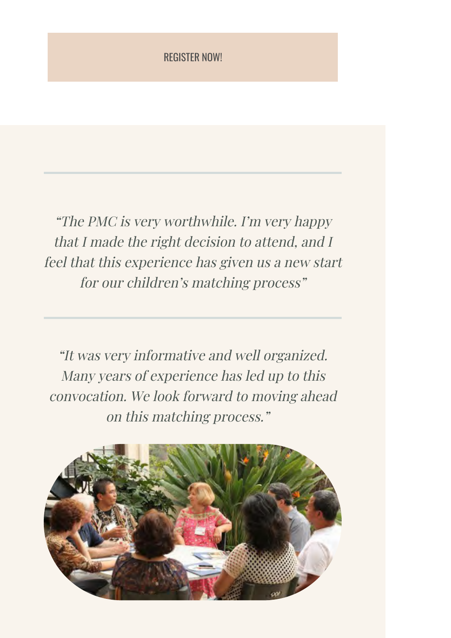#### REGISTER NOW!

"The PMC is very worthwhile. I'm very happy that I made the right decision to attend, and I feel that this experience has given us a new start for our children's matching process"

"It was very informative and well organized. Many years of experience has led up to this convocation. We look forward to moving ahead on this matching process."

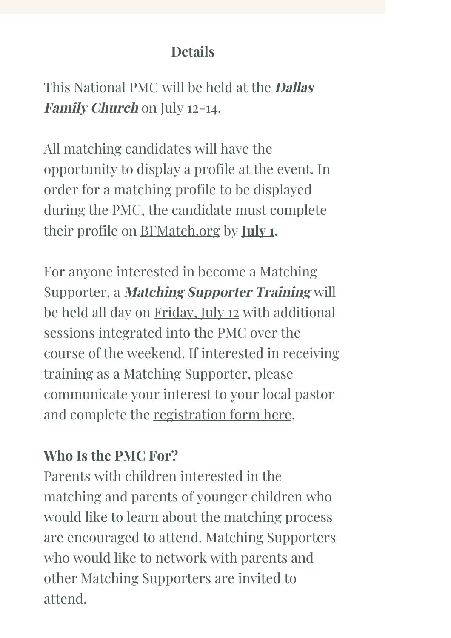# **Details**

# This National PMC will be held at the **Dallas Family Church** on July 12-14.

All matching candidates will have the opportunity to display a profile at the event. In order for a matching profile to be displayed during the PMC, the candidate must complete their profile on BFMatch.org by **July 1.**

For anyone interested in become a Matching Supporter, a **Matching Supporter Training** will be held all day on Friday, July 12 with additional sessions integrated into the PMC over the course of the weekend. If interested in receiving training as a Matching Supporter, please communicate your interest to your local pastor and complete the registration form here.

# **Who Is the PMC For?**

Parents with children interested in the matching and parents of younger children who would like to learn about the matching process are encouraged to attend. Matching Supporters who would like to network with parents and other Matching Supporters are invited to attend.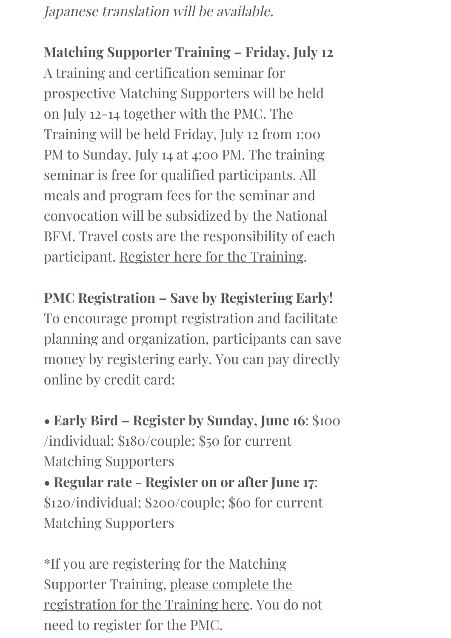Japanese translation will be available.

**Matching Supporter Training – Friday, July 12**  A training and certification seminar for prospective Matching Supporters will be held on July 12-14 together with the PMC. The Training will be held Friday, July 12 from 1:00 PM to Sunday, July 14 at 4:00 PM. The training seminar is free for qualified participants. All meals and program fees for the seminar and convocation will be subsidized by the National BFM. Travel costs are the responsibility of each participant. Register here for the Training.

**PMC Registration – Save by Registering Early!** To encourage prompt registration and facilitate planning and organization, participants can save money by registering early. You can pay directly online by credit card:

**• Early Bird – Register by Sunday, June 16**: \$100 /individual; \$180/couple; \$50 for current Matching Supporters **• Regular rate - Register on or after June 17**: \$120/individual; \$200/couple; \$60 for current Matching Supporters

\*If you are registering for the Matching Supporter Training, please complete the registration for the Training here. You do not need to register for the PMC.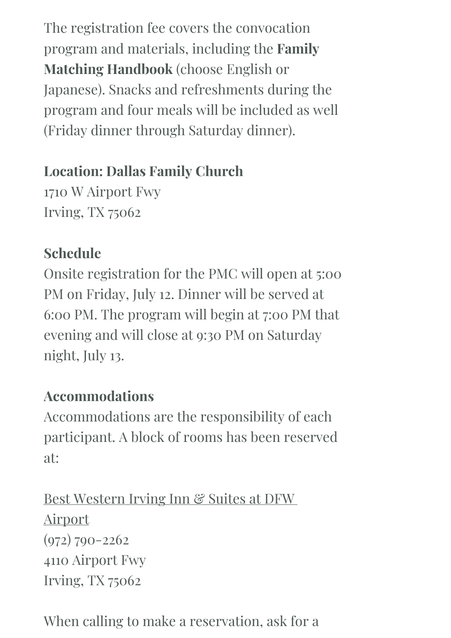The registration fee covers the convocation program and materials, including the **Family Matching Handbook** (choose English or Japanese). Snacks and refreshments during the program and four meals will be included as well (Friday dinner through Saturday dinner).

# **Location: Dallas Family Church**

1710 W Airport Fwy Irving, TX 75062

# **Schedule**

Onsite registration for the PMC will open at 5:00 PM on Friday, July 12. Dinner will be served at 6:00 PM. The program will begin at 7:00 PM that evening and will close at 9:30 PM on Saturday night, July 13.

# **Accommodations**

Accommodations are the responsibility of each participant. A block of rooms has been reserved at:

Best Western Irving Inn & Suites at DFW Airport (972) 790-2262 4110 Airport Fwy Irving, TX 75062

# When calling to make a reservation, ask for a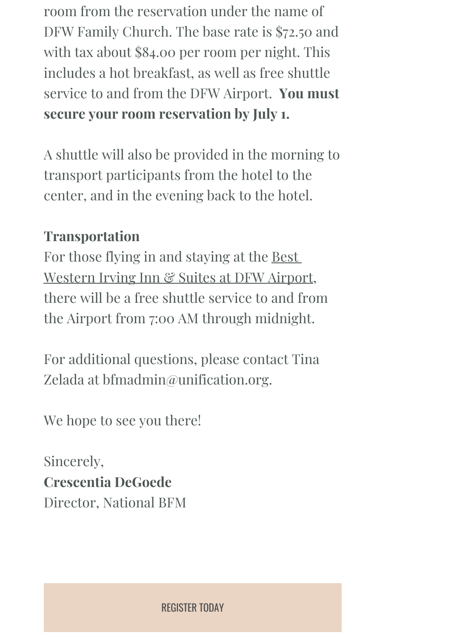room from the reservation under the name of DFW Family Church. The base rate is \$72.50 and with tax about \$84.00 per room per night. This includes a hot breakfast, as well as free shuttle service to and from the DFW Airport. **You must secure your room reservation by July 1.** 

A shuttle will also be provided in the morning to transport participants from the hotel to the center, and in the evening back to the hotel.

## **Transportation**

For those flying in and staying at the Best Western Irving Inn & Suites at DFW Airport, there will be a free shuttle service to and from the Airport from 7:00 AM through midnight.

For additional questions, please contact Tina Zelada at bfmadmin@unification.org.

We hope to see you there!

Sincerely, **Crescentia DeGoede** Director, National BFM

REGISTER TODAY